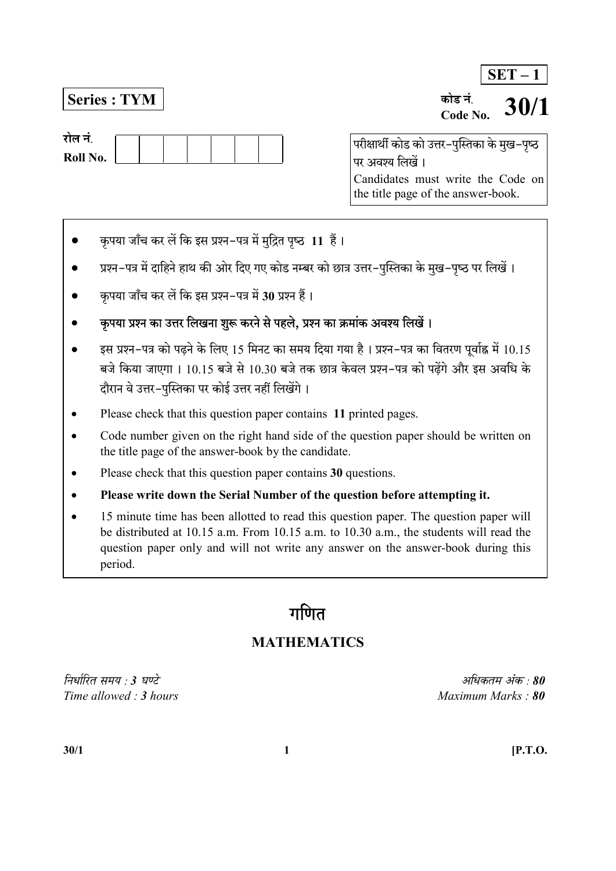$SET - 1$ 

Series : TYM

रोल नं Roll No.

Code No. .<br>परीक्षार्थी कोड को उत्तर–पुस्तिका के मुख–पृष्ठ 30/1

पर अवश्य लिखें। Candidates must write the Code on the title page of the answer-book.

कोड नं

- कृपया जाँच कर लें कि इस प्रश्न-पत्र में मुद्रित पृष्ठ 11 हैं।
- प्रश्न–पत्र में दाहिने हाथ की ओर दिए गए कोड नम्बर को छात्र उत्तर–पुस्तिका के मुख–पुष्ठ पर लिखें।
- कृपया जाँच कर लें कि इस प्रश्न-पत्र में 30 प्रश्न हैं।
- कपया प्रश्न का उत्तर लिखना शुरू करने से पहले. प्रश्न का क्रमांक अवश्य लिखें।
- इस प्रश्न-पत्र को पढ़ने के लिए 15 मिनट का समय दिया गया है। प्रश्न-पत्र का वितरण पूर्वाह्न में 10.15 बजे किया जाएगा । 10.15 बजे से 10.30 बजे तक छात्र केवल प्रश्न-पत्र को पढेंगे और इस अवधि के दौरान वे उत्तर-पस्तिका पर कोई उत्तर नहीं लिखेंगे।
- Please check that this question paper contains 11 printed pages.
- Code number given on the right hand side of the question paper should be written on the title page of the answer-book by the candidate.
- Please check that this question paper contains 30 questions.
- Please write down the Serial Number of the question before attempting it.
- 15 minute time has been allotted to read this question paper. The question paper will be distributed at 10.15 a.m. From 10.15 a.m. to 10.30 a.m., the students will read the question paper only and will not write any answer on the answer-book during this period.

# गणित

# MATHEMATICS

निर्धारित समय : 3 घण्टे $3.80$  $Time allowed: 3 hours$  Maximum Marks : 80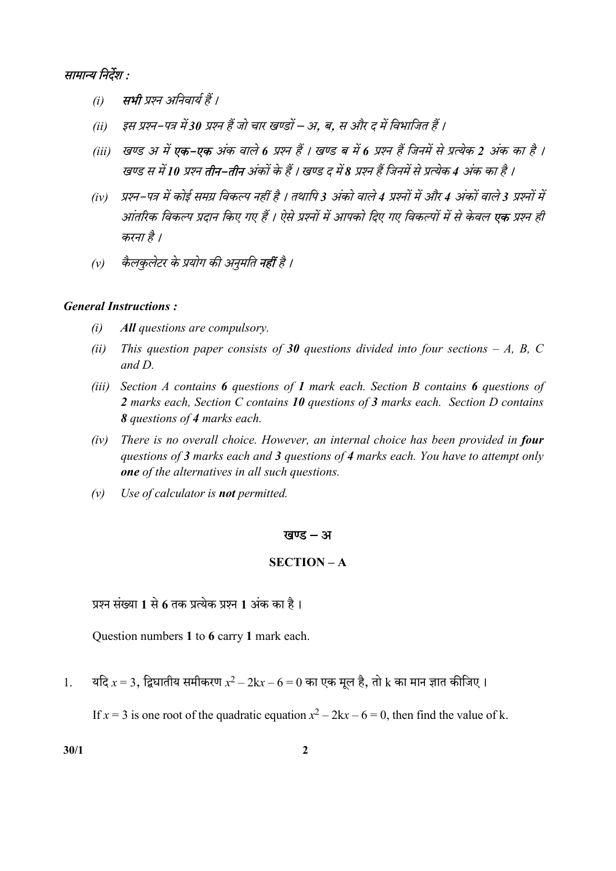

- (i) सभी प्रश्न अनिवार्य हैं ।
- (ii) इस प्रश्न-पत्र में 30 प्रश्न हैं जो चार खण्डों अ. ब. स और द में विभाजित हैं ।
- (iii) खण्ड अ में **एक–एक** अंक वाले 6 प्रश्न हैं । खण्ड ब में 6 प्रश्न हैं जिनमें से प्रत्येक 2 अंक का है । खण्ड स में 10 प्रश्न तीन–तीन अंकों के हैं । खण्ड द में 8 प्रश्न हैं जिनमें से प्रत्येक 4 अंक का है ।
- (iv) प्रश्न–पत्र में कोई समग्र विकल्प नहीं है । तथापि 3 अंको वाले 4 प्रश्नों में और 4 अंकों वाले 3 प्रश्नों में आंतरिक विकल्प प्रदान किए गए हैं । ऐसे प्रश्नों में आपको दिए गए विकल्पों में से केवल **एक** प्रश्न ही करना है।
- (v) कैलकुलेटर के प्रयोग की अनुमति **नहीं** है ।

# General Instructions :

- (i) All questions are compulsory.
- (ii) This question paper consists of 30 questions divided into four sections A, B, C and D.
- (iii) Section A contains 6 questions of 1 mark each. Section B contains 6 questions of 2 marks each, Section C contains 10 questions of 3 marks each. Section D contains 8 questions of 4 marks each.
- $(iv)$  There is no overall choice. However, an internal choice has been provided in four questions of 3 marks each and 3 questions of 4 marks each. You have to attempt only one of the alternatives in all such questions.
- $(v)$  Use of calculator is **not** permitted.

#### खण्ड – अ

# SECTION – A

प्रश्न संख्या 1 से 6 तक प्रत्येक प्रश्न 1 अंक का है।

Question numbers 1 to 6 carry 1 mark each.

1. यदि  $x = 3$ , द्विघातीय समीकरण  $x^2 - 2kx - 6 = 0$  का एक मूल है, तो  $k$  का मान ज्ञात कीजिए ।

If  $x = 3$  is one root of the quadratic equation  $x^2 - 2kx - 6 = 0$ , then find the value of k.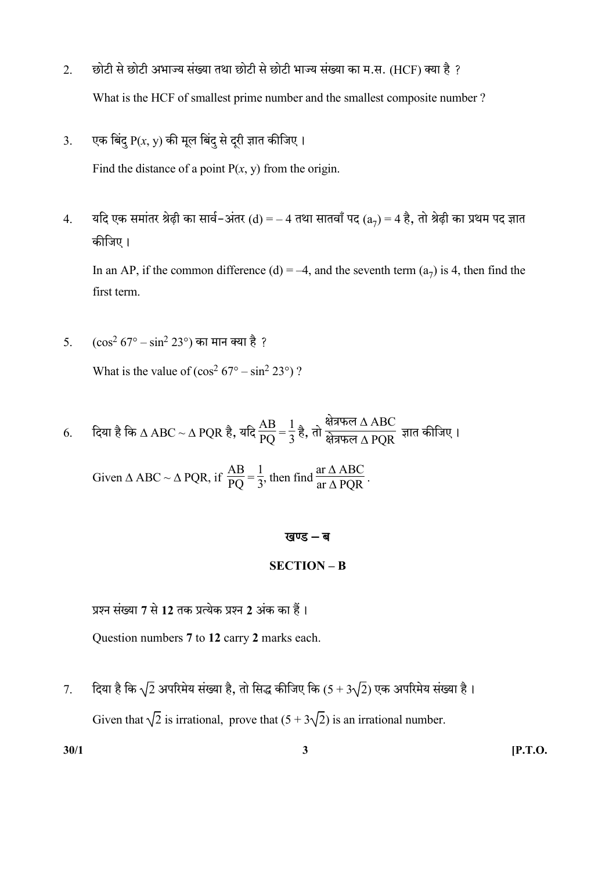- 2. छोटी से छोटी अभाज्य संख्या तथा छोटी से छोटी भाज्य संख्या का म.स. (HCF) क्या है ? What is the HCF of smallest prime number and the smallest composite number ?
- 3. एक बिंद  $P(x, y)$  की मूल बिंद से दरी ज्ञात कीजिए।

Find the distance of a point  $P(x, y)$  from the origin.

4. यदि एक समांतर श्रेढ़ी का सार्व–अंतर (d) = – 4 तथा सातवाँ पद (a<sub>7</sub>) = 4 है, तो श्रेढ़ी का प्रथम पद ज्ञात कीजिए।

In an AP, if the common difference (d) = -4, and the seventh term  $(a_7)$  is 4, then find the first term.

5.  $(\cos^2 67^\circ - \sin^2 23^\circ)$  का मान क्या है ?

What is the value of  $(\cos^2 67^\circ - \sin^2 23^\circ)$ ?

6. दिया है कि  $\Delta \, \text{ABC} \sim \Delta \, \text{PQR}$  है, यदि  $\frac{\text{AB}}{\text{PQ}}$  = 1  $\frac{1}{3}$  है, तो <sub>सेन्नफल  $\Delta$  ABC<br> $\frac{1}{3}$  है, तो <sub>सेन्नफल  $\Delta$  PQR</sub></sub>

Given  $\triangle$  ABC ~  $\triangle$  PQR, if  $\frac{AB}{PQ}$  = 1  $\frac{1}{3}$ , then find  $\frac{\text{ar } \Delta \text{ ABC}}{\text{ar } \Delta \text{ PQR}}$ .

#### खण्ड $-$ ब

### SECTION – B

प्रश्न संख्या 7 से 12 तक प्रत्येक प्रश्न 2 अंक का हैं।

Question numbers 7 to 12 carry 2 marks each.

7. दिया है कि  $\sqrt{2}$  अपरिमेय संख्या है, तो सिद्ध कीजिए कि  $(5+3\sqrt{2})$  एक अपरिमेय संख्या है। Given that  $\sqrt{2}$  is irrational, prove that  $(5 + 3\sqrt{2})$  is an irrational number.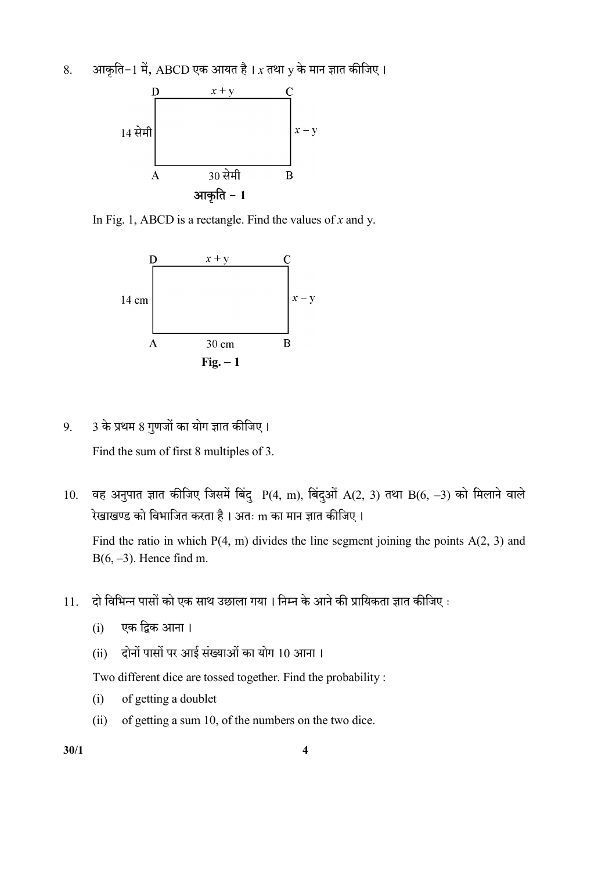8. आकृति-1 में, ABCD एक आयत है।  $x$  तथा  $y$  के मान ज्ञात कीजिए।



In Fig. 1, ABCD is a rectangle. Find the values of  $x$  and  $y$ .



 $9.$  3 के प्रथम 8 गुणजों का योग ज्ञात कीजिए।

Find the sum of first 8 multiples of 3.

10. वह अनुपात ज्ञात कीजिए जिसमें बिंदु P(4, m), बिंदुओं A(2, 3) तथा B(6, -3) को मिलाने वाले रेखाखण्ड को विभाजित करता है। अतः m का मान ज्ञात कीजिए।

Find the ratio in which  $P(4, m)$  divides the line segment joining the points  $A(2, 3)$  and  $B(6, -3)$ . Hence find m.

- 11. दो विभिन्न पासों को एक साथ उछाला गया। निम्न के आने की प्रायिकता ज्ञात कीजिए :
	- (i)
	- (ii) दोनों पासों पर आई संख्याओं का योग 10 आना।

Two different dice are tossed together. Find the probability :

- (i) of getting a doublet
- (ii) of getting a sum 10, of the numbers on the two dice.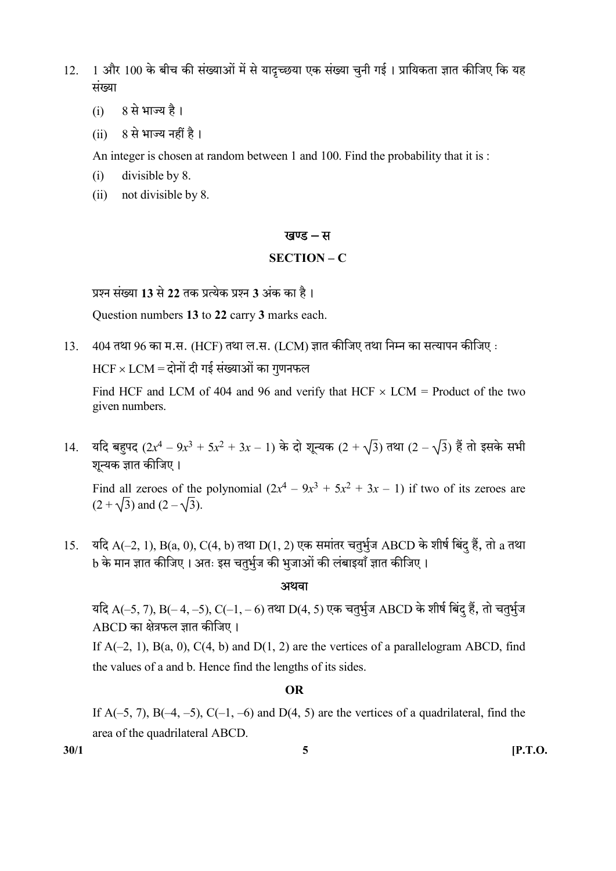12. 1 और 100 के बीच की संख्याओं में से यादृच्छया एक संख्या चुनी गई। प्रायिकता ज्ञात कीजिए कि यह मंख्या

- (i) 8
- $(ii)$   $8$  से भाज्य नहीं है।

An integer is chosen at random between 1 and 100. Find the probability that it is :

- (i) divisible by 8.
- (ii) not divisible by 8.

#### खण्ड – स

#### SECTION – C

प्रश्न संख्या 13 से 22 तक प्रत्येक प्रश्न 3 अंक का है।

Question numbers 13 to 22 carry 3 marks each.

 $13.$  404 तथा 96 का म.स. (HCF) तथा ल.स. (LCM) ज्ञात कीजिए तथा निम्न का सत्यापन कीजिए :

 $HCF \times LCM =$ दोनों दी गई संख्याओं का गणनफल

Find HCF and LCM of 404 and 96 and verify that HCF  $\times$  LCM = Product of the two given numbers.

14. यदि बहुपद  $(2x^4 - 9x^3 + 5x^2 + 3x - 1)$  के दो शून्यक  $(2 + \sqrt{3})$  तथा  $(2 - \sqrt{3})$  हैं तो इसके सभी शून्यक ज्ञात कीजिए।

Find all zeroes of the polynomial  $(2x^4 - 9x^3 + 5x^2 + 3x - 1)$  if two of its zeroes are  $(2 + \sqrt{3})$  and  $(2 - \sqrt{3})$ .

 $15.$  यदि A(–2, 1), B(a, 0), C(4, b) तथा D(1, 2) एक समांतर चतुर्भुज ABCD के शीर्ष बिंदु हैं, तो a तथा b के मान ज्ञात कीजिए। अतः इस चतर्भज की भजाओं की लंबाइयाँ ज्ञात कीजिए।

#### अथवा

यदि A(–5, 7), B(– 4, –5), C(–1, – 6) तथा D(4, 5) एक चतुर्भुज ABCD के शीर्ष बिंदु हैं, तो चतुर्भुज ABCD का क्षेत्रफल ज्ञात कीजिए।

If  $A(-2, 1)$ ,  $B(a, 0)$ ,  $C(4, b)$  and  $D(1, 2)$  are the vertices of a parallelogram ABCD, find the values of a and b. Hence find the lengths of its sides.

#### OR

If  $A(-5, 7)$ ,  $B(-4, -5)$ ,  $C(-1, -6)$  and  $D(4, 5)$  are the vertices of a quadrilateral, find the area of the quadrilateral ABCD.

 $30/1$  [P.T.O.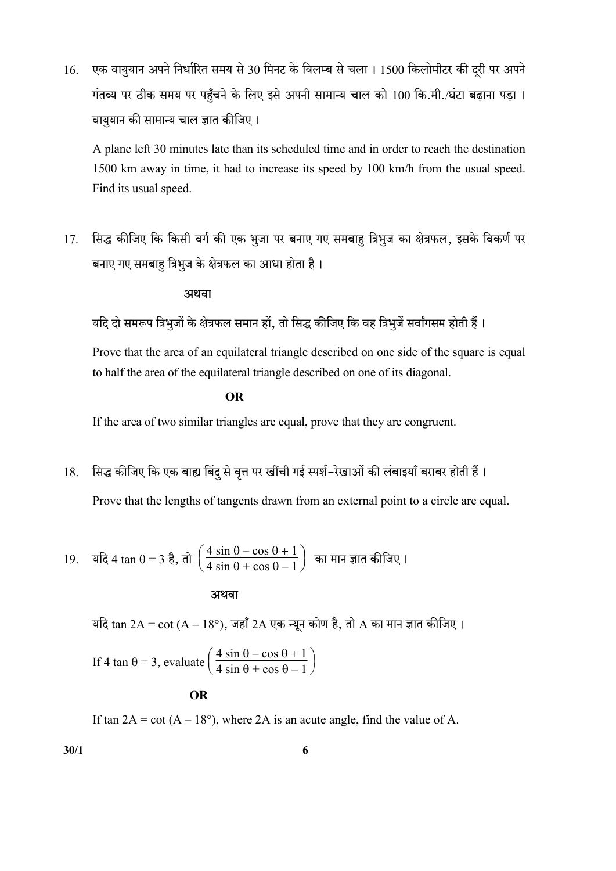16. एक वायुयान अपने निर्धारित समय से 30 मिनट के विलम्ब से चला। 1500 किलोमीटर की दूरी पर अपने गंतव्य पर ठीक समय पर पहुँचने के लिए इसे अपनी सामान्य चाल को 100 कि.मी./घंटा बढ़ाना पड़ा । वाययान की सामान्य चाल ज्ञात कीजिए।

 A plane left 30 minutes late than its scheduled time and in order to reach the destination 1500 km away in time, it had to increase its speed by 100 km/h from the usual speed. Find its usual speed.

17. सिद्ध कीजिए कि किसी वर्ग की एक भुजा पर बनाए गए समबाह त्रिभुज का क्षेत्रफल, इसके विकर्ण पर बनाए गए समबाह त्रिभुज के क्षेत्रफल का आधा होता है।

#### अथवा

यदि दो समरूप त्रिभूजों के क्षेत्रफल समान हों, तो सिद्ध कीजिए कि वह त्रिभूजें सर्वांगसम होती हैं।

 Prove that the area of an equilateral triangle described on one side of the square is equal to half the area of the equilateral triangle described on one of its diagonal.

**OR** OF THE STATE OF THE STATE OF THE STATE OF THE STATE OF THE STATE OF THE STATE OF THE STATE OF THE STATE OF THE STATE OF THE STATE OF THE STATE OF THE STATE OF THE STATE OF THE STATE OF THE STATE OF THE STATE OF THE ST

If the area of two similar triangles are equal, prove that they are congruent.

# 18. सिद्ध कीजिए कि एक बाह्य बिंद से वृत्त पर खींची गई स्पर्श–रेखाओं की लंबाइयाँ बराबर होती हैं।

Prove that the lengths of tangents drawn from an external point to a circle are equal.

19. 
$$
\sqrt{4} \tan \theta = 3 \, \frac{3}{6}, \, \pi \ln \left( \frac{4 \sin \theta - \cos \theta + 1}{4 \sin \theta + \cos \theta - 1} \right)
$$
 का मान ज्ञात कीजिए 1

अथवा

यदि  $\tan 2A = \cot (A - 18^{\circ})$ , जहाँ 2A एक न्यून कोण है, तो A का मान ज्ञात कीजिए।

If 4 tan  $\theta = 3$ , evaluate  $\frac{4 \sin \theta - \cos \theta + 1}{4 \sin \theta + \cos \theta - 1}$  $\frac{1 \sin \theta - \cos \theta + 1}{4 \sin \theta + \cos \theta - 1}$ 

#### OR

If tan  $2A = \cot(A - 18^{\circ})$ , where 2A is an acute angle, find the value of A.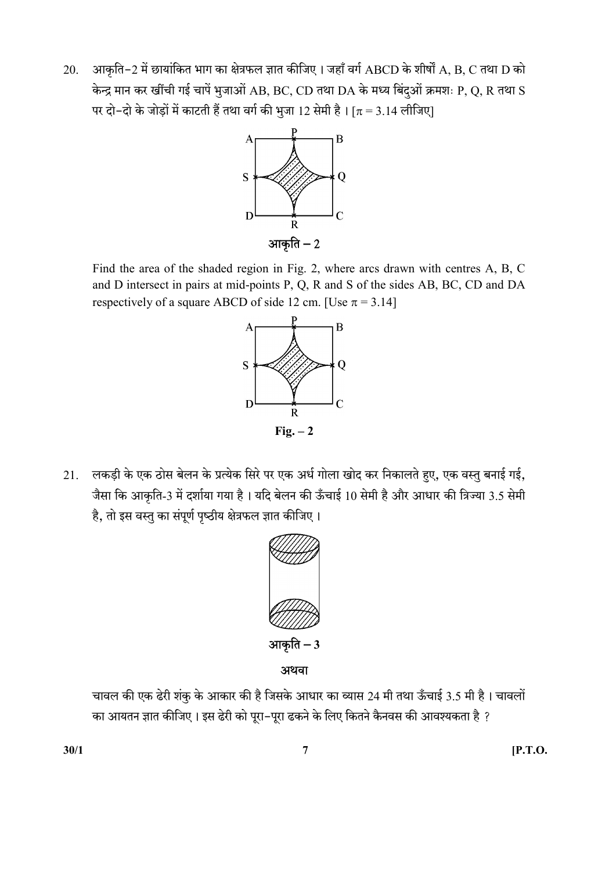20. आकृति-2 में छायांकित भाग का क्षेत्रफल ज्ञात कीजिए। जहाँ वर्ग ABCD के शीर्षों A, B, C तथा D को केन्द्र मान कर खींची गई चापें भुजाओं AB, BC, CD तथा DA के मध्य बिंदुओं क्रमशः P, Q, R तथा S पर दो–दो के जोड़ों में काटती हैं तथा वर्ग की भुजा 12 सेमी है। [ $\pi$  = 3.14 लीजिए]



 Find the area of the shaded region in Fig. 2, where arcs drawn with centres A, B, C and D intersect in pairs at mid-points P, Q, R and S of the sides AB, BC, CD and DA respectively of a square ABCD of side 12 cm. [Use  $\pi = 3.14$ ]



21. लकड़ी के एक ठोस बेलन के प्रत्येक सिरे पर एक अर्ध गोला खोद कर निकालते हुए, एक वस्तु बनाई गई, जैसा कि आकृति-3 में दर्शाया गया है। यदि बेलन की ऊँचाई 10 सेमी है और आधार की त्रिज्या 3.5 सेमी है, तो इस वस्तु का संपूर्ण पृष्ठीय क्षेत्रफल ज्ञात कीजिए।



आकृति $-3$ 

अथवा

चावल की एक ढेरी शंकू के आकार की है जिसके आधार का व्यास 24 मी तथा ऊँचाई 3.5 मी है। चावलों का आयतन ज्ञात कीजिए। इस ढेरी को पूरा-पूरा ढकने के लिए कितने कैनवस की आवश्यकता है ?

 $30/1$  [P.T.O.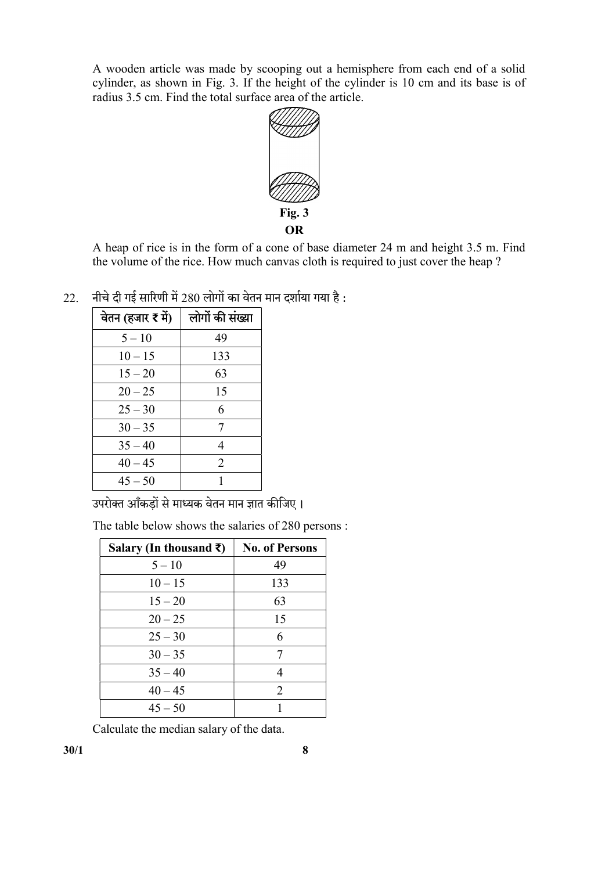A wooden article was made by scooping out a hemisphere from each end of a solid cylinder, as shown in Fig. 3. If the height of the cylinder is 10 cm and its base is of radius 3.5 cm. Find the total surface area of the article.



 A heap of rice is in the form of a cone of base diameter 24 m and height 3.5 m. Find the volume of the rice. How much canvas cloth is required to just cover the heap ?

 $22.$  नीचे दी गई सारिणी में 280 लोगों का वेतन मान दर्शाया गया है:

| वेतन (हजार र में) | लोगों की संख्या |
|-------------------|-----------------|
| $5 - 10$          | 49              |
| $10 - 15$         | 133             |
| $15 - 20$         | 63              |
| $20 - 25$         | 15              |
| $25 - 30$         | 6               |
| $30 - 35$         | 7               |
| $35 - 40$         | 4               |
| $40 - 45$         | 2               |
| $45 - 50$         |                 |

उपरोक्त आँकडों से माध्यक वेतन मान ज्ञात कीजिए।

The table below shows the salaries of 280 persons :

| Salary (In thousand ₹) | <b>No. of Persons</b> |
|------------------------|-----------------------|
| $5 - 10$               | 49                    |
| $10 - 15$              | 133                   |
| $15 - 20$              | 63                    |
| $20 - 25$              | 15                    |
| $25 - 30$              | 6                     |
| $30 - 35$              | 7                     |
| $35 - 40$              | 4                     |
| $40 - 45$              | 2                     |
| $45 - 50$              |                       |

Calculate the median salary of the data.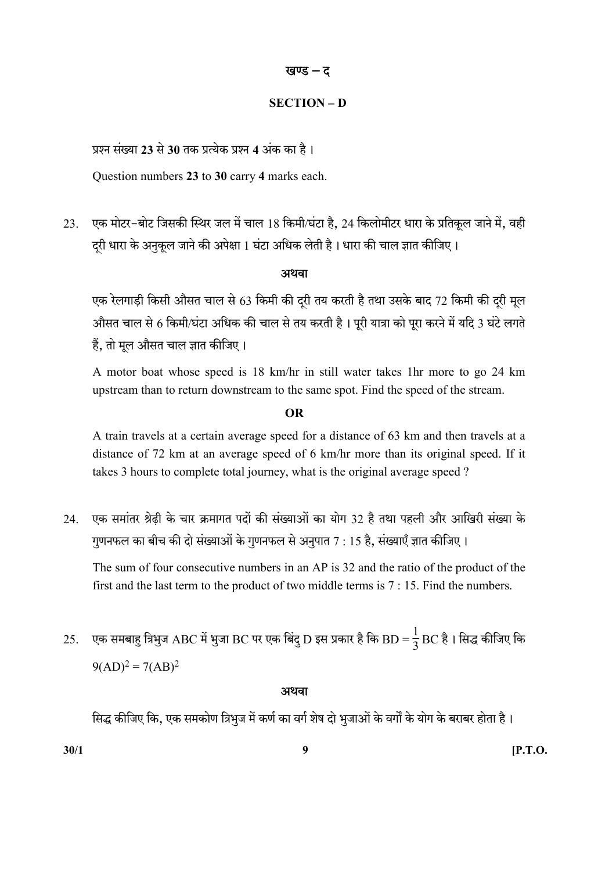# खण्ड – द

# SECTION – D

प्रश्न संख्या 23 से 30 तक प्रत्येक प्रश्न 4 अंक का है।

Question numbers 23 to 30 carry 4 marks each.

23. एक मोटर-बोट जिसकी स्थिर जल में चाल 18 किमी/घंटा है, 24 किलोमीटर धारा के प्रतिकृल जाने में, वही दरी धारा के अनुकूल जाने की अपेक्षा 1 घंटा अधिक लेती है। धारा की चाल ज्ञात कीजिए।

# अथवा

एक रेलगाड़ी किसी औसत चाल से 63 किमी की दूरी तय करती है तथा उसके बाद 72 किमी की दूरी मूल औसत चाल से 6 किमी/घंटा अधिक की चाल से तय करती है। पूरी यात्रा को पूरा करने में यदि 3 घंटे लगते हैं. तो मल औसत चाल ज्ञात कीजिए।

 A motor boat whose speed is 18 km/hr in still water takes 1hr more to go 24 km upstream than to return downstream to the same spot. Find the speed of the stream.

# OR

 A train travels at a certain average speed for a distance of 63 km and then travels at a distance of 72 km at an average speed of 6 km/hr more than its original speed. If it takes 3 hours to complete total journey, what is the original average speed ?

24. एक समांतर श्रेढ़ी के चार क्रमागत पदों की संख्याओं का योग 32 है तथा पहली और आखिरी संख्या के गुणनफल का बीच की दो संख्याओं के गुणनफल से अनुपात 7 : 15 है, संख्याएँ ज्ञात कीजिए।

 The sum of four consecutive numbers in an AP is 32 and the ratio of the product of the first and the last term to the product of two middle terms is 7 : 15. Find the numbers.

25. एक समबाहु त्रिभुज ABC में भुजा BC पर एक बिंदु D इस प्रकार है कि BD =  $\frac{1}{3}$  $\frac{1}{3}$ BC है। सिद्ध कीजिए कि  $9(AD)^2 = 7(AB)^2$ 

# अथवा

सिद्ध कीजिए कि, एक समकोण त्रिभुज में कर्ण का वर्ग शेष दो भूजाओं के वर्गों के योग के बराबर होता है।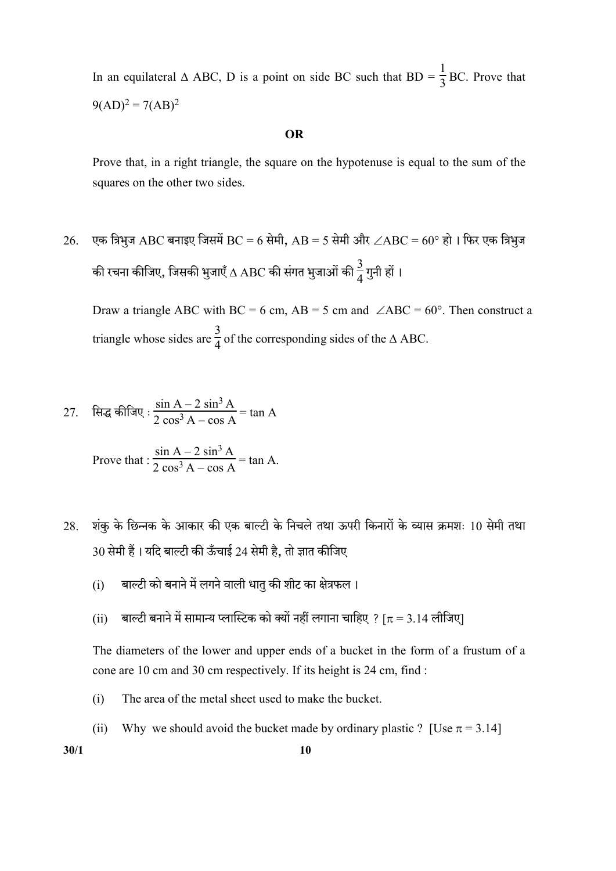In an equilateral  $\triangle$  ABC, D is a point on side BC such that BD =  $\frac{1}{3}$ BC. Prove that  $9(AD)^2 = 7(AB)^2$ 

#### OR

 Prove that, in a right triangle, the square on the hypotenuse is equal to the sum of the squares on the other two sides.

 $26.$  एक त्रिभुज ABC बनाइए जिसमें BC = 6 सेमी, AB = 5 सेमी और  $\angle\text{ABC}$  = 60° हो । फिर एक त्रिभुज की रचना कीजिए, जिसकी भुजाएँ  $\Delta$  ABC की संगत भुजाओं की  $\frac{3}{4}$ गुनी हों ।

Draw a triangle ABC with BC = 6 cm, AB = 5 cm and  $\angle$ ABC = 60°. Then construct a triangle whose sides are  $\frac{3}{4}$  of the corresponding sides of the  $\triangle$  ABC.

27. सिद्ध कीजिए : 
$$
\frac{\sin A - 2 \sin^3 A}{2 \cos^3 A - \cos A} = \tan A
$$

Prove that: 
$$
\frac{\sin A - 2 \sin^3 A}{2 \cos^3 A - \cos A} = \tan A.
$$

- 28. शंकु के छिन्नक के आकार की एक बाल्टी के निचले तथा ऊपरी किनारों के व्यास क्रमशः 10 सेमी तथा 30 सेमी हैं। यदि बाल्टी की ऊँचाई 24 सेमी है, तो ज्ञात कीजिए
	- $(i)$  बाल्टी को बनाने में लगने वाली धात् की शीट का क्षेत्रफल।
	- (ii) बाल्टी बनाने में सामान्य प्लास्टिक को क्यों नहीं लगाना चाहिए ? [ $\pi$  = 3.14 लीजिए]

 The diameters of the lower and upper ends of a bucket in the form of a frustum of a cone are 10 cm and 30 cm respectively. If its height is 24 cm, find :

- (i) The area of the metal sheet used to make the bucket.
- (ii) Why we should avoid the bucket made by ordinary plastic ? [Use  $\pi = 3.14$ ]